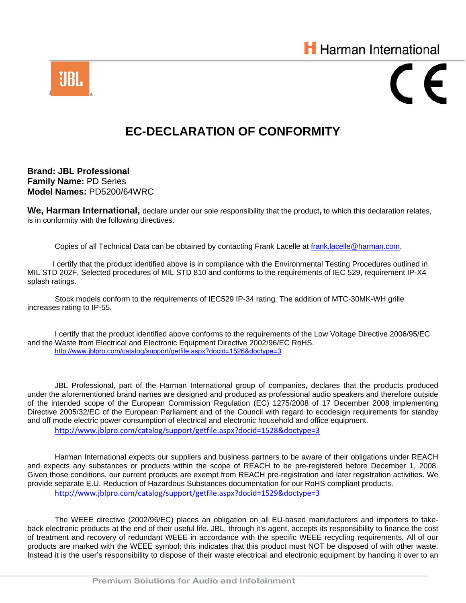



## **EC-DECLARATION OF CONFORMITY**

**Brand: JBL Professional Family Name:** PD Series **Model Names:** PD5200/64WRC

**We, Harman International,** declare under our sole responsibility that the product**,** to which this declaration relates, is in conformity with the following directives.

Copies of all Technical Data can be obtained by contacting Frank Lacelle at frank.lacelle@harman.com.

 I certify that the product identified above is in compliance with the Environmental Testing Procedures outlined in MIL STD 202F, Selected procedures of MIL STD 810 and conforms to the requirements of IEC 529, requirement IP-X4 splash ratings.

 Stock models conform to the requirements of IEC529 IP-34 rating. The addition of MTC-30MK-WH grille increases rating to IP-55.

 I certify that the product identified above conforms to the requirements of the Low Voltage Directive 2006/95/EC and the Waste from Electrical and Electronic Equipment Directive 2002/96/EC RoHS. http://www.jblpro.com/catalog/support/getfile.aspx?docid=1526&doctype=3

JBL Professional, part of the Harman International group of companies, declares that the products produced under the aforementioned brand names are designed and produced as professional audio speakers and therefore outside of the intended scope of the European Commission Regulation (EC) 1275/2008 of 17 December 2008 implementing Directive 2005/32/EC of the European Parliament and of the Council with regard to ecodesign requirements for standby and off mode electric power consumption of electrical and electronic household and office equipment. http://www.jblpro.com/catalog/support/getfile.aspx?docid=1528&doctype=3

Harman International expects our suppliers and business partners to be aware of their obligations under REACH and expects any substances or products within the scope of REACH to be pre-registered before December 1, 2008. Given those conditions, our current products are exempt from REACH pre-registration and later registration activities. We provide separate E.U. Reduction of Hazardous Substances documentation for our RoHS compliant products. http://www.jblpro.com/catalog/support/getfile.aspx?docid=1529&doctype=3

The WEEE directive (2002/96/EC) places an obligation on all EU-based manufacturers and importers to takeback electronic products at the end of their useful life. JBL, through it's agent, accepts its responsibility to finance the cost of treatment and recovery of redundant WEEE in accordance with the specific WEEE recycling requirements. All of our products are marked with the WEEE symbol; this indicates that this product must NOT be disposed of with other waste. Instead it is the user's responsibility to dispose of their waste electrical and electronic equipment by handing it over to an